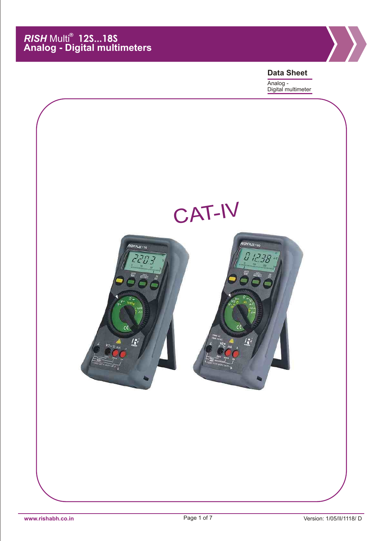

**Data Sheet** Analog - Digital multimeter

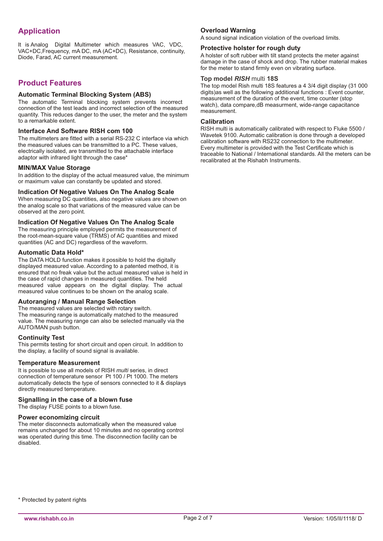# **Application**

It is Analog Digital Multimeter which measures VAC, VDC, VAC+DC,Frequency, mA DC, mA (AC+DC), Resistance, continuity, Diode, Farad, AC current measurement.

### **Product Features**

### **Automatic Terminal Blocking System (ABS)**

The automatic Terminal blocking system prevents incorrect connection of the test leads and incorrect selection of the measured quantity. This reduces danger to the user, the meter and the system to a remarkable extent.

### **Interface And Software RISH com 100**

The multimeters are fitted with a serial RS-232 C interface via which the measured values can be transmitted to a PC. These values, electrically isolated, are transmitted to the attachable interface adaptor with infrared light through the case\*

#### **MIN/MAX Value Storage**

In addition to the display of the actual measured value, the minimum or maximum value can constantly be updated and stored.

### **Indication Of Negative Values On The Analog Scale**

When measuring DC quantities, also negative values are shown on the analog scale so that variations of the measured value can be observed at the zero point.

### **Indication Of Negative Values On The Analog Scale**

The measuring principle employed permits the measurement of the root-mean-square value (TRMS) of AC quantities and mixed quantities (AC and DC) regardless of the waveform.

### **Automatic Data Hold\***

The DATA HOLD function makes it possible to hold the digitally displayed measured value. According to a patented method, it is ensured that no freak value but the actual measured value is held in the case of rapid changes in measured quantities. The held measured value appears on the digital display. The actual measured value continues to be shown on the analog scale.

#### **Autoranging / Manual Range Selection**

The measured values are selected with rotary switch. The measuring range is automatically matched to the measured value. The measuring range can also be selected manually via the AUTO/MAN push button.

#### **Continuity Test**

This permits testing for short circuit and open circuit. In addition to the display, a facility of sound signal is available.

#### **Temperature Measurement**

It is possible to use all models of RISH *multi* series, in direct connection of temperature sensor Pt 100 / Pt 1000. The meters automatically detects the type of sensors connected to it & displays directly measured temperature.

#### **Signalling in the case of a blown fuse**

The display FUSE points to a blown fuse.

#### **Power economizing circuit**

The meter disconnects automatically when the measured value remains unchanged for about 10 minutes and no operating control was operated during this time. The disconnection facility can be disabled.

### **Overload Warning**

A sound signal indication violation of the overload limits.

#### **Protective holster for rough duty**

A holster of soft rubber with tilt stand protects the meter against damage in the case of shock and drop. The rubber material makes for the meter to stand firmly even on vibrating surface.

### **Top model** *RISH* multi **18S**

The top model Rish multi 18S features a 4 3/4 digit display (31 000 digits)as well as the following additional functions : Event counter, measurement of the duration of the event, time counter (stop watch), data compare,dB measurment, wide-range capacitance measurement.

#### **Calibration**

RISH multi is automatically calibrated with respect to Fluke 5500 / Wavetek 9100. Automatic calibration is done through a developed calibration software with RS232 connection to the multimeter. Every multimeter is provided with the Test Certificate which is traceable to National / International standards. All the meters can be recalibrated at the Rishabh Instruments.

\* Protected by patent rights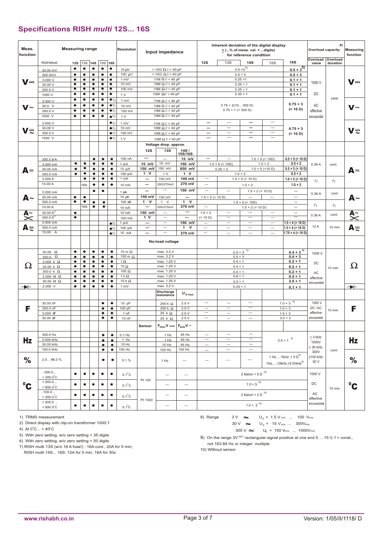### **Specifications RISH** *multi* **12S... 16S**

| Meas.<br>function    |                                    | <b>Measuring range</b> |                        |                |                        |                        | Resolution                      |                          | Input impedance                                                                       |                              | Inherent deviation of the digital display<br>$\underline{+}$ (% of meas. val. +  digits)<br>for reference condition |                                                      | 4)<br><b>Overload capacity</b>        |                                | <b>Measuring</b><br>function      |                   |                      |               |
|----------------------|------------------------------------|------------------------|------------------------|----------------|------------------------|------------------------|---------------------------------|--------------------------|---------------------------------------------------------------------------------------|------------------------------|---------------------------------------------------------------------------------------------------------------------|------------------------------------------------------|---------------------------------------|--------------------------------|-----------------------------------|-------------------|----------------------|---------------|
|                      | <b>RISHMulti</b>                   | 12S                    | <b>13S</b>             | <b>14S</b>     |                        | 15S 16S                |                                 |                          |                                                                                       |                              | 12S                                                                                                                 | <b>13S</b>                                           | <b>14S</b>                            | <b>15S</b>                     | <b>16S</b>                        | Overload<br>value | Overload<br>duration |               |
|                      | 30.00 mV                           | $\bullet$              | ٠                      | $\bullet$      | $\bullet$              | $\bullet$              | 10 µV                           |                          | $>$ 10G $\Omega$ // < 40 pF                                                           |                              |                                                                                                                     |                                                      | $0.5+3^{5}$                           |                                | $0.5+3^{5}$                       |                   |                      |               |
|                      | 300.0mV                            | ٠                      | ٠                      | ٠              | ٠                      | $\bullet$              | 100 µV                          |                          | $> 10G$ Ω// < 40 pF                                                                   |                              |                                                                                                                     |                                                      | $0.5 + 3$                             |                                | $0.5 + 3$                         |                   |                      |               |
| $V =$                | 3.000 V                            | $\bullet$              | ۰                      | $\bullet$      | $\bullet$              | $\bullet$              | 1 mV                            |                          | 11M $\Omega$ // < 40 pF                                                               |                              |                                                                                                                     |                                                      | $0.25 + 1$                            |                                | $0.1 + 1$                         | 1000 V            |                      | $\mathbf{V}$  |
|                      | 30.00 V                            | ٠                      | ٠                      | ٠              | ٠                      | $\bullet$              | 10 mV                           |                          | 10M $\Omega$ // < 40 pF                                                               |                              |                                                                                                                     |                                                      | $0.25 + 1$                            |                                | $0.1 + 1$                         |                   |                      |               |
|                      | 300.0 V                            | ٠                      | ٠                      | ٠              | ٠                      | ٠                      | 100 mV                          |                          | 10M $\Omega$ // < 40 pF                                                               |                              |                                                                                                                     |                                                      | $0.25 + 1$                            |                                | $0.1 + 1$                         |                   |                      |               |
|                      | 1000 V                             | ٠                      | ٠                      | ٠              | ۰                      | ٠                      | 1 <sub>V</sub>                  |                          | 10M $\Omega$ // < 40 pF                                                               |                              |                                                                                                                     |                                                      | $0.35 + 1$                            |                                | $0.1 + 1$                         | DC                | cont.                |               |
|                      | 3.000 V                            | ٠                      | ٠                      | ٠              | ٠                      | • <sub>1</sub>         | 1 mV                            |                          | 11M $\Omega$ // < 40 pF                                                               |                              |                                                                                                                     |                                                      |                                       |                                | $0.75 + 3$                        |                   |                      |               |
| V~                   | 30.0 V                             | ٠<br>٠                 | ٠<br>٠                 | ٠<br>٠         | ٠<br>٠                 | •1)<br>•1              | 10 mV                           |                          | 10M $\Omega$ // < 40 pF                                                               |                              |                                                                                                                     | $0.75 + 2(10300 D)$<br>$0.75 + 1$ (> 300 D)          |                                       |                                | (> 10 D)                          | AC                |                      | $V -$         |
|                      | 300.0 V<br>1000 V                  | ٠                      | ٠                      | ٠              | $\bullet$              | • <sub>1</sub>         | 100 mV<br>1 <sub>V</sub>        |                          | 10M $\Omega$ // < 40 pF<br>10M $\Omega$ // < 40 pF                                    |                              |                                                                                                                     |                                                      |                                       |                                |                                   | effective         |                      |               |
|                      |                                    |                        |                        |                |                        |                        |                                 |                          |                                                                                       |                              |                                                                                                                     | ---                                                  | ---                                   | $\sim$                         |                                   | sinusoidal        |                      |               |
|                      | 3.000 V                            |                        |                        |                |                        | $\bullet$ <sub>1</sub> | 1 mV                            |                          | 11M $\Omega$ // < 40 pF                                                               |                              | ---                                                                                                                 | $\sim$                                               | ---                                   | $\hspace{0.05cm} \cdots$       |                                   |                   |                      |               |
| V=                   | 30.00 V<br>300.0 V                 |                        |                        |                |                        | •1)<br>•1)             | 10 mV<br>100 mV                 |                          | 10M $\Omega$ // < 40 pF<br>10M $\Omega$ // < 40 pF                                    |                              | ---<br>---                                                                                                          | $\overline{\phantom{a}}$                             | ---                                   | $\overline{\phantom{a}}$       | $0.75 + 3$<br>(> 10 D)            |                   |                      | $V\equiv$     |
|                      | 1000 V                             |                        |                        |                |                        | •1)                    | 1 V                             |                          | 10M $\Omega$ // < 40 pF                                                               |                              | ---                                                                                                                 | $\overline{a}$                                       | ---                                   | $\overline{\phantom{a}}$       |                                   |                   |                      |               |
|                      |                                    |                        |                        |                |                        |                        |                                 |                          | Voltage drop. approx.                                                                 |                              |                                                                                                                     |                                                      |                                       |                                |                                   |                   |                      |               |
|                      |                                    |                        |                        |                |                        |                        |                                 | 12S                      | 13S                                                                                   |                              |                                                                                                                     |                                                      |                                       |                                |                                   |                   |                      |               |
|                      |                                    |                        |                        |                |                        |                        |                                 |                          |                                                                                       | 14S /<br>15S/16S             |                                                                                                                     |                                                      |                                       |                                |                                   |                   |                      |               |
|                      | 300.0 µA                           |                        |                        | $\bullet$      | $\bullet$              | $\bullet$              | 100 nA                          | $\hspace{0.05cm} \ldots$ |                                                                                       | 15 mV                        | ---                                                                                                                 | ---                                                  |                                       | $1.0 + 5$ (> 10D)              | $0.5 + 5$ (> 10 D)                |                   |                      |               |
|                      | 3.000 mA                           | ٠<br>٠                 | ٠<br>٠                 | ٠<br>۰         | $\bullet$<br>$\bullet$ | ٠<br>$\bullet$         | $1 \mu A$                       | 15 mV<br>150 mV          | 15 mV<br>150 mV                                                                       | 150 mV<br>650 mV             |                                                                                                                     | $1.0 + 5$ (> 10D)                                    |                                       | $1.0 + 2$<br>$1.0 + 5$ (<10 D) | $0.5 + 2$<br>$0.5 + 5$ (> 10 D)   | 0.36A             | cont.                |               |
| $A =$                | 30.00 mA<br>300.0 mA               | ٠                      | ٠                      | ٠              | $\bullet$              | $\bullet$              | $10 \mu A$<br>100 µA            | $1 \ V$                  | 1 V                                                                                   | 1 V                          |                                                                                                                     | $0.25 + 2$                                           | $1.0 + 2$                             |                                | $0.5 + 2$                         |                   |                      | $A =$         |
|                      | 3.000 A                            |                        | ٠                      | ٠              | $\bullet$              | $\bullet$              | 1 mA                            | $\hspace{0.05cm} \ldots$ | 100 mV                                                                                | 100 mV                       | ---                                                                                                                 |                                                      | $1.0 + 5$ (> 10 D)                    |                                | $1.0 + 5$ (> 10 D)                |                   |                      |               |
|                      | 10.00 A                            |                        | 16A                    | ٠              | $\bullet$              | $\bullet$              | 10 mA                           | ---                      | 300/270mV                                                                             | 270 mV                       | $\hspace{0.05cm} \ldots$                                                                                            |                                                      | $1.0 + 2$                             |                                | $1.0 + 2$                         | 7)                | 7)                   |               |
|                      | 3,000 mA                           |                        |                        | ٠              | $\bullet$              |                        |                                 | ---                      | $\overline{\phantom{a}}$                                                              | 150 mV                       | $\hspace{0.05cm} \cdots$                                                                                            | $\overline{a}$                                       | $1.5 + 2 (> 10 D)$                    |                                | $\sim$                            |                   |                      |               |
|                      | 30.00 mA                           | $\bullet$              | $\bullet$              |                |                        |                        | $1 \mu A$<br>10 JA              | 150 mV                   | 150 mV                                                                                | $\overline{a}$               | $1.5 + 2$ (> 10 D)                                                                                                  |                                                      | $\overline{\phantom{a}}$              | $\cdots$                       | $\sim$                            | 0.36A             | cont.                |               |
| А~                   | 300.0 mA                           | ٠                      | ٠                      | $\bullet$      | ۰                      |                        | 100 µA                          | $\mathbf{1}$<br>v        | $1 \quad V$                                                                           | $1 \quad V$                  |                                                                                                                     |                                                      | $1.5 + 2 (> 10D)$                     |                                | $\hspace{0.05cm} \cdots$          |                   |                      | $A -$         |
|                      | 10.00 A                            |                        | 16A                    | $\bullet$      | ۰                      |                        | 10 mA                           | $\hspace{0.05cm} \ldots$ | 300/270mV                                                                             | 270 mV                       | $\cdots$                                                                                                            |                                                      | $1.5 + 2$ (> 10 D)                    |                                | $\sim$                            | 7)                | 7)                   |               |
|                      | 30.00 $A^{2}$                      | ۰                      |                        |                |                        |                        | 10 mA                           | 150 mV                   | ---                                                                                   | ---                          | $1.5 + 2$                                                                                                           | $\overline{\phantom{a}}$                             | $\overline{\phantom{a}}$              | $\overline{a}$                 | $\cdots$                          |                   | cont.                |               |
| $\tilde{\textbf{x}}$ | 300.0 $A^{2}$                      | ۰                      |                        |                |                        |                        | 100 mA                          | 1 V                      | $\overline{\phantom{a}}$                                                              | ---                          | (> 10 D)                                                                                                            | $\hspace{0.05cm} \ldots$                             | $\overline{\phantom{a}}$              | $\cdots$                       |                                   | 0.36A             |                      | A~<br>I       |
|                      | 3.000 mA                           |                        |                        |                |                        | •1)                    | $1 \mu A$                       | $\hspace{0.05cm} \ldots$ | ---                                                                                   | $150$ mV                     | <u></u>                                                                                                             | $\overline{\phantom{a}}$                             | $\hspace{0.05cm} \ldots$              | $\hspace{0.05cm}$              | $1.5 + 4$ (> 10 D)                |                   |                      |               |
| Αē                   | 300.0 mA<br>10.00 A                |                        |                        |                |                        | •1)                    | 100 µA                          | ---                      | $\hspace{0.05cm} \cdots$                                                              | v<br>$\mathbf{1}$            | $\hspace{0.05cm}$                                                                                                   | $\cdots$                                             | $\overline{\phantom{a}}$              | $\sim$                         | $1.5 + 4$ (> 10 D)                | 12 A              | 10 min               | $A \equiv$    |
|                      |                                    |                        |                        |                |                        | •1)                    | 10 mA                           | ---                      | $\overline{\phantom{a}}$                                                              | 270 mV                       | $\hspace{0.05cm} \cdots$                                                                                            | $\overline{\phantom{a}}$                             | $\hspace{0.05cm}$                     | $\hspace{0.05cm}$              | $1.75 + 4$ (> 10 D)               |                   |                      |               |
|                      |                                    |                        |                        |                |                        |                        |                                 |                          | No-load voltage                                                                       |                              |                                                                                                                     |                                                      |                                       |                                |                                   |                   |                      |               |
|                      |                                    |                        |                        |                |                        |                        |                                 |                          |                                                                                       |                              |                                                                                                                     |                                                      | 5)                                    |                                |                                   |                   |                      |               |
|                      | 30.00 $\Omega$                     | ٠                      | $\bullet$              | $\bullet$      | $\bullet$              | $\bullet$              | 10 m $\Omega$<br>100 m $\Omega$ |                          | max. 3.2 V<br>max. 3.2 V                                                              |                              |                                                                                                                     | $0.5 + 3$                                            |                                       |                                | $0.4 + 3^{5}$<br>$0.4 + 3$        | 1000 V            |                      |               |
|                      | 300.0 $\Omega$<br>$3.000 k \Omega$ | ٠<br>$\bullet$         | $\bullet$<br>$\bullet$ | ٠<br>$\bullet$ | $\bullet$<br>$\bullet$ | $\bullet$<br>$\bullet$ | 1 $\Omega$                      |                          | max. 1.25 V                                                                           |                              |                                                                                                                     | $0.5 + 3$<br>$0.4 + 1$                               |                                       |                                | $0.2 + 1$                         |                   |                      |               |
| $\Omega$             | 30.00 k $\Omega$                   | ٠                      | ٠                      | ٠              | ۰                      | ۰                      | 10 $\Omega$                     |                          | max. 1.25 V                                                                           |                              |                                                                                                                     | $0.4 + 1$                                            |                                       |                                | $0.2 + 1$                         | DC                | 10 min               | Ω             |
|                      | 300.0 k $\Omega$                   | ٠                      | ٠                      | ٠              | ۰                      | $\bullet$              | 100 $\Omega$                    |                          | max. 1.25 V                                                                           |                              |                                                                                                                     | $0.4 + 1$                                            |                                       |                                | $0.2 + 1$                         | AC                |                      |               |
|                      | 3.000 M $\Omega$                   | $\bullet$              | $\bullet$              | $\bullet$      | $\bullet$              | $\bullet$              | 1 k $\Omega$                    |                          | max. 1.25 V                                                                           |                              |                                                                                                                     | $0.6 + 1$                                            |                                       |                                | $0.4 + 1$                         | effective         |                      |               |
|                      | 30.00 M $\Omega$                   | ٠                      | $\bullet$              | ٠              | ٠                      | $\bullet$              | 10 k $\Omega$                   |                          | max. 1.25 V                                                                           |                              |                                                                                                                     | $2.0 + 1$                                            |                                       |                                | $2.0 + 1$                         | sinusoidal        |                      |               |
| →⊢                   | $2.000 \text{ V}$                  | ٠                      | ٠                      | ٠              | ٠                      | $\bullet$              | 1 mV                            |                          | max. 3.2 V                                                                            |                              |                                                                                                                     | $0.25 + 1$                                           |                                       |                                | $0.1 + 1$                         |                   |                      | ↠             |
|                      |                                    |                        |                        |                |                        |                        |                                 |                          | <b>Discharge</b><br>resistance                                                        | $\mathsf{U}_{0\,\text{max}}$ |                                                                                                                     |                                                      |                                       |                                |                                   |                   |                      |               |
|                      | 30.00 nF                           |                        |                        |                | $\bullet$              | $\bullet$              | 10 pF                           |                          | 250 k $\Omega$                                                                        | 2.5V                         | $\hspace{0.05cm} \cdots$                                                                                            | $\sim$                                               | $\overline{\phantom{a}}$              |                                | 6)<br>$1.0 + 3$                   | 1000 V            |                      |               |
| F                    | 300.0 nF                           |                        |                        |                | ۰                      | $\bullet$              | 100 pF                          |                          | 250 k $\Omega$                                                                        | 2.5V                         | $\hspace{0.05cm} \cdots$                                                                                            | $\hspace{0.05cm} \cdots$                             | $\equiv$                              |                                | $1.0 + 3$                         | DC / AC           |                      | F             |
|                      | 3.000 IF                           |                        |                        |                | ۰                      | $\bullet$              | 1 nF                            |                          | 25 k $\Omega$                                                                         | 2.5V                         | $\overline{\phantom{a}}$                                                                                            | $\overline{a}$                                       | $\overline{\phantom{a}}$              |                                | $1.0 + 3$                         | effective         | 10 min               |               |
|                      | 30.00 IF                           |                        |                        |                | ٠                      | $\bullet$              | 10 nF                           |                          | 25 k $\Omega$                                                                         | 2.5V                         | $\hspace{0.05cm} \cdots$                                                                                            | $\sim$                                               | $\hspace{0.05cm} \ldots$              |                                | $3.0 + 3$                         | sinusoidal        |                      |               |
|                      |                                    |                        |                        |                |                        |                        |                                 | Sensor                   | $F_{min}V =$ $F_{min}V$ ~                                                             |                              |                                                                                                                     |                                                      |                                       |                                |                                   |                   |                      |               |
|                      |                                    |                        |                        |                |                        |                        |                                 |                          |                                                                                       |                              |                                                                                                                     |                                                      |                                       |                                |                                   |                   |                      |               |
|                      | 300.0 Hz                           |                        |                        |                | $\bullet$              | $\bullet$              | $0.1$ Hz                        |                          | 1 Hz                                                                                  | 45 Hz                        | $\overline{\phantom{a}}$                                                                                            | $\overline{\phantom{a}}$                             | $\overline{\phantom{a}}$<br>$-\cdots$ |                                |                                   | $\leq$ 3 kHz:     |                      |               |
| Hz                   | 3.000 kHz<br>30.00 kHz             |                        |                        |                | ٠<br>٠                 | $\bullet$<br>$\bullet$ | 1 Hz<br>10 Hz                   |                          | 1 Hz<br>10 Hz                                                                         | 45 Hz<br>45 Hz               | $\overline{\phantom{a}}$                                                                                            | $\hspace{0.05cm} \cdots$<br>$\overline{\phantom{m}}$ | ---                                   |                                | $0.5+1$ $^{\,8)}$                 | 1000V             |                      | Hz            |
|                      | 100.0 kHz                          |                        |                        |                | ۰                      | ۰                      | 100 Hz                          |                          | 100 Hz                                                                                | 100 Hz                       | $\overline{\phantom{a}}$<br>---                                                                                     | $\overline{\phantom{a}}$                             | $\overline{\phantom{a}}$              |                                |                                   | $\leq$ 30 kHz:    | cont.                |               |
|                      |                                    |                        |                        |                |                        |                        |                                 |                          |                                                                                       |                              |                                                                                                                     |                                                      |                                       |                                | 1 Hz1kHz: $\pm$ 5 D <sup>9)</sup> | 300V<br><100 kHz: |                      |               |
| $\%$                 | 2.0 98.0 %                         |                        |                        |                | ٠                      | ٠                      | 0.1%                            |                          | 1 Hz                                                                                  | ---                          | $\hspace{0.05cm} \cdots$                                                                                            | ---                                                  |                                       |                                |                                   | 30 V              |                      | $\frac{6}{6}$ |
|                      |                                    |                        |                        |                |                        |                        |                                 |                          |                                                                                       |                              |                                                                                                                     |                                                      |                                       |                                | $1Hz10kHz: \pm 5 D/kHz^{9}$       |                   |                      |               |
|                      | $-200.0$                           | ۰                      | ٠                      | $\bullet$      | ٠                      | $\bullet$              | $0.1^{\circ}$ C                 |                          | $\hspace{0.05cm} \cdots$                                                              | $\hspace{0.05cm} \ldots$     | 2 Kelvin + 5 D $^{10)}$<br>1000 V                                                                                   |                                                      |                                       |                                |                                   |                   |                      |               |
|                      | $+200.0^{\circ}$ C<br>$+200.0$     |                        |                        |                |                        |                        |                                 | Pt 100                   |                                                                                       |                              |                                                                                                                     |                                                      |                                       |                                |                                   |                   |                      |               |
| $\rm ^{o}$ C         | $+850.0^{\circ}$ C                 | $\bullet$              | $\bullet$              | $\bullet$      | $\bullet$              | $\bullet$              | $0.1^{\circ}$ C                 |                          | ---                                                                                   | $\hspace{0.05cm} \cdots$     |                                                                                                                     |                                                      | $1.0 + 5^{~\,10)}$                    |                                |                                   | DC                | 10 min               | $\rm ^{o}$ C  |
|                      | $-100.0$                           | ٠                      | ٠                      | ٠              | ٠                      | ٠                      | $0.1^{\circ}C$                  |                          | 2 Kelvin + 2 D $^{10)}$<br>AC<br>$\overline{\phantom{a}}$<br>$\hspace{0.05cm} \ldots$ |                              |                                                                                                                     |                                                      |                                       |                                |                                   |                   |                      |               |
|                      | $+200.0^{\circ}$ C<br>$+200.0$     |                        |                        |                |                        |                        |                                 | Pt 1000                  |                                                                                       |                              |                                                                                                                     |                                                      |                                       |                                |                                   | effective         |                      |               |
|                      | $+850.0^{\circ}$ C                 | ۰                      | ۰                      | $\bullet$      | ٠                      | $\bullet$              | $0.1^{\circ}$ C                 |                          | ---                                                                                   | $\overline{\phantom{a}}$     | $1.0 + 2^{10}$                                                                                                      |                                                      | sinusoidal                            |                                |                                   |                   |                      |               |

1) TRMS measurement

2) Direct display with clip-on transformer 1000:1

4) At  $0^{\circ}$ C... + 40 $^{\circ}$ C

5) With zero setting; w/o zero setting + 35 digits

6) With zero setting; w/o zero setting + 50 digits

7) RISH multi 13S (w/o 16 A fuse!) : 16A cont., 20A for 5 min; RISH multi 14S... 16S: 12A for 5 min, 16A for 30s

8) Range  $3V$   $\approx$ 

8) Range 
$$
3V \approx U_E = 1.5 V_{rms} ... 100 V_{rms}
$$
  
30 V  $\approx U_E = 15 V_{rms} ... 300 V_{rms}$ 

$$
300 \text{ V} \approx 10^{2} \text{ U}_{E} = 150 \text{ V}_{rms} \dots 1000 \text{ V}_{rms}
$$

9) On the range  $300 \text{ V} \approx U_{\text{E}} = 150 \text{ V}_{\text{rms}}$  ...  $1000 \text{ V}_{\text{rms}}$ <br>9) On the range  $3 \text{ V} \equiv \text{rectangular signal positive}$  at one end 5 ... 15 V, f = const., not 163.84 Hz or integer multiple.

10) Without sensor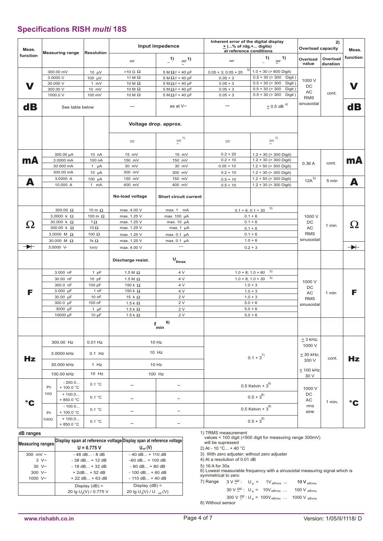# **Specifications RISH** *multi* **18S**

| Meas.                | <b>Measuring range</b>           |                                                                                | Input impedence<br><b>Resolution</b>                         |                                                                     | Inherent error of the digital display<br><u>+</u> (% of rdg.+ digits)<br>at reference conditions        | <b>Overload capacity</b>                                        | Meas.                                                                                                                 |                                             |                      |                             |  |
|----------------------|----------------------------------|--------------------------------------------------------------------------------|--------------------------------------------------------------|---------------------------------------------------------------------|---------------------------------------------------------------------------------------------------------|-----------------------------------------------------------------|-----------------------------------------------------------------------------------------------------------------------|---------------------------------------------|----------------------|-----------------------------|--|
| function             |                                  |                                                                                |                                                              | $=$                                                                 | $1)$ = 1)                                                                                               | $=$                                                             | 1)<br>$\equiv$ <sup>1)</sup>                                                                                          | Overload<br>value                           | Overload<br>duration | function                    |  |
|                      | 3.0000 V<br>30.000 V<br>300.00 V | 300.00 mV                                                                      | $10 \mu V$<br>100 $\mu$ V<br>$1 \, mV$<br>10 mV              | $>10$ G $\Omega$<br>11 M $\Omega$<br>10 M $\Omega$<br>10 M $\Omega$ | $5 M \Omega$ // < 40 pF<br>5 M $\Omega$ // < 40 pF<br>$5 M\Omega$ // < 40 pF<br>5 M $\Omega$ // < 40 pF | $0.05 + 3; 0.05 + 20$<br>$0.05 + 3$<br>$0.05 + 3$<br>$0.05 + 3$ | $1.0 + 30$ (> 600 Digit)<br>$0.5 + 30 (> 300$<br>Digit)<br>$0.5 + 30 (> 300$<br>Digit)<br>$0.5 + 30 (> 300$<br>Digit) | 1000 V<br>DC<br>AC                          | cont.                |                             |  |
| $\mathbf d\mathbf B$ | 1000.0 V                         | See table below                                                                | 100 mV                                                       | 10 M $\Omega$                                                       | 5 M $\Omega$ // < 40 pF<br>as at V~                                                                     | $0.05 + 3$                                                      | $0.5 + 30 (> 300$<br>Digit)<br>$+$ 0.5 dB <sup>4)</sup>                                                               | <b>RMS</b><br>sinusoidal                    |                      | $\mathbf d\mathbf B$        |  |
|                      |                                  |                                                                                |                                                              | Voltage drop. approx.                                               |                                                                                                         |                                                                 |                                                                                                                       |                                             |                      |                             |  |
|                      |                                  |                                                                                |                                                              | $=$                                                                 | $\equiv$ <sup>1)</sup>                                                                                  | $=$                                                             | $\equiv$ <sup>1)</sup>                                                                                                |                                             |                      |                             |  |
| mA                   |                                  | 300.00 µA<br>3.0000 mA<br>30.000 mA<br>300.00 mA                               | 10 nA<br>100 nA<br>1 $\mu$ A<br>$10 \mu A$                   | 15 mV<br>150 mV<br>30 mV<br>300 mV                                  | 15 mV<br>150 mV<br>30 mV<br>300 mV                                                                      | $0.2 + 20$<br>$0.2 + 10$<br>$0.05 + 10$<br>$0.2 + 10$           | $1.2 + 30$ (> 300 Digit)<br>$1.2 + 30$ (> 300 Digit)<br>$1.2 + 50$ (> 300 Digit)<br>$1.2 + 30$ (> 300 Digit)          | 0.36A                                       | cont.                | mA                          |  |
| А                    |                                  | 3.0000 A<br>10.000 A                                                           | 100 µA<br>$1$ mA                                             | 150 mV<br>400 mV                                                    | 150 mV<br>400 mV                                                                                        | $0.5 + 10$<br>$0.5 + 10$                                        | $1.2 + 50$ (> 300 Digit)<br>$1.2 + 30$ (> 300 Digit)                                                                  | $12A^{5)}$                                  | 5 min                | А                           |  |
|                      |                                  |                                                                                |                                                              | No-load voltage                                                     | Short circuit current                                                                                   |                                                                 |                                                                                                                       |                                             |                      |                             |  |
| <u>(2</u>            |                                  | 300.00 $\Omega$<br>3.0000 k $\Omega$<br>30.000 k $\Omega$<br>300.00 k $\Omega$ | 10 m $\Omega$<br>100 m $\Omega$<br>1 $\Omega$<br>10 $\Omega$ | max. 4.00 V<br>max. 1.25 V<br>max. 1.25 V<br>max. 1.25 V            | max. 1 mA<br>max. 100 µA<br>max. 10 µA<br>max. $1 \mu A$                                                |                                                                 | $0.1 + 6$ ; 0.1 + 30 $^{3}$<br>$0.1 + 6$<br>$0.1 + 6$<br>$0.1 + 6$                                                    | 1000 V<br>DC<br>AC                          | 1 min                | <u>( )</u><br>$\rightarrow$ |  |
| $\rightarrow$        |                                  | 3.0000 M $\Omega$<br>30.000 M $\Omega$<br>3.0000 V-                            | 100 $\Omega$<br>1k $\Omega$<br>1mV                           | max. 1.25 V<br>max. 1.25 V<br>max. 4.00 V                           | max. 0.1 µA<br>max. 0.1 µA<br>---                                                                       |                                                                 | $0.1 + 6$<br>$1.0 + 6$<br>$0.2 + 3$                                                                                   | <b>RMS</b><br>sinusoidal                    |                      |                             |  |
|                      |                                  |                                                                                |                                                              | Discharge resist.                                                   | $\mathsf{U}_{\mathsf{0max}}$                                                                            |                                                                 |                                                                                                                       |                                             |                      |                             |  |
|                      |                                  | 3.000 nF<br>30.00 nF                                                           | 1 pF<br>$10$ pF                                              | 1.5 M $\Omega$<br>1.5 M $\Omega$                                    | 4 V<br>4 V                                                                                              |                                                                 | $1.0 + 8$ ; $1.0 + 60$ <sup>3</sup><br>$1.0 + 8$ ; $1.0 + 30$ <sup>3</sup>                                            | 1000 V                                      |                      |                             |  |
| F                    |                                  | 300.0 nF<br>3.000 µF<br>30.00 µF<br>300.0 µF                                   | 100 pF<br>1 nF<br>10 nF<br>100 nF                            | 150 k $\Omega$<br>150 k $\Omega$<br>15 k $\Omega$<br>1.5 k $\Omega$ | 4 V<br>4 V<br>2V<br>2 V                                                                                 |                                                                 | $1.0 + 3$<br>$1.0 + 3$<br>$1.0 + 3$<br>$5.0 + 6$                                                                      | DC<br>AC<br><b>RMS</b>                      | 1 min                | F                           |  |
|                      |                                  | 3000 µF<br>10000 µF                                                            | $1 \mu F$<br>$10 \mu F$                                      | 1.5 k $\Omega$<br>1.5 k $\Omega$                                    | 2 V<br>2V                                                                                               |                                                                 | $5.0 + 6$<br>$5.0 + 6$                                                                                                | sinusoidal                                  |                      |                             |  |
|                      |                                  |                                                                                |                                                              |                                                                     | 6)<br>f<br>min                                                                                          |                                                                 |                                                                                                                       |                                             |                      |                             |  |
|                      |                                  | 300.00 Hz                                                                      | $0.01$ Hz<br>$0.1$ Hz                                        |                                                                     | 10 Hz<br>10 Hz                                                                                          |                                                                 |                                                                                                                       | $\leq$ 3 kHz;<br>1000 V                     |                      |                             |  |
| Hz                   | 3.0000 kHz<br>30.000 kHz         |                                                                                | $1$ Hz                                                       |                                                                     | 10 Hz                                                                                                   | $0.1 + 3^{7}$                                                   |                                                                                                                       | $\leq$ 30 kHz;<br>300 V<br>< 100 kHz        | cont.                | Hz                          |  |
|                      |                                  | 100.00 kHz<br>$-200.0$                                                         | $10$ Hz                                                      |                                                                     | 100 Hz                                                                                                  |                                                                 |                                                                                                                       | 30 V                                        |                      |                             |  |
|                      | Pt<br>100                        | + 100.0 °C<br>$+100.0$<br>$+850.0 °C$                                          | 0.1 °C<br>0.1 °C                                             | -<br>$\overline{\phantom{0}}$                                       | $\overline{\phantom{m}}$<br>$\qquad \qquad -$                                                           |                                                                 | 0.5 Kelvin + $3^{8)}$<br>$0.5+3^{8)}$                                                                                 | 1000 V<br>DC<br>AC<br>1 min.<br>rms<br>sine |                      |                             |  |
| $\mathbf{C}$         |                                  | $-100.0$<br>+ 100.0 °C                                                         | 0.1 °C                                                       | $\qquad \qquad -$                                                   |                                                                                                         |                                                                 | 0.5 Kelvin + $3^{8)}$                                                                                                 |                                             |                      | $^{\circ}$ C                |  |
|                      | Pt<br>1000                       | $+100.0$<br>+ 850.0 °C                                                         | 0.1 °C                                                       | $\qquad \qquad -$                                                   | $\qquad \qquad -$                                                                                       |                                                                 | $0.5+3^{8)}$                                                                                                          |                                             |                      |                             |  |

#### **dB ranges**

| Measuring ranges   | Display span at reference voltage Display span at reference voltage |                                                 |
|--------------------|---------------------------------------------------------------------|-------------------------------------------------|
|                    | $U = 0.775 V$                                                       | $U_{ref} (V)$                                   |
| 300 mV $\sim$      | $-48$ dB $-8$ dB                                                    | $-40$ dB $+110$ dB                              |
| $3 \text{ V}$      | $-38$ dB $+12$ dB                                                   | $-60$ dB $+ 100$ dB                             |
| 30 V~              | $-18$ dB $+32$ dB                                                   | $-80$ dB $+80$ dB                               |
| $300 \text{ V}$ ~  | $+ 2$ dB $+ 52$ dB                                                  | $-100$ dB $+60$ dB                              |
| $1000 \text{ V}$ ~ | $+22$ dB $+63$ dB                                                   | $-110$ dB $+40$ dB                              |
|                    | Display $(dB) =$                                                    | Display $(dB) =$                                |
|                    | 20 lg U <sub>v</sub> (V) / 0.775 V                                  | 20 Ig U <sub>s</sub> (V) / U <sub>ref</sub> (V) |

1) TRMS measurement

values < 100 digit (<500 digit for measuring range 300mV)

will be supressed

2) At - 10 °C... + 40 °C

3) With zero adjuster; without zero adjuster 4) At a resolution of 0.01 dB

5) 16 A for 30s 6) Lowest measurable frequency with a sinusoidal measuring signal which is symmetrical to zero

7) Range  $3 \vee \frac{1}{2}$ : U<sub>e</sub> =  $1 \vee$ <sub>eff/rms</sub> ... 10 V<sub>eff/rms</sub>  $30 \text{ V}$  $\frac{1}{20}$  : U<sub>e</sub> = 10V<sub>eff/rms</sub> ... 100 V<sub>eff/rms</sub>

8) Without sensor  $300 \text{ V}$   $\frac{1}{20}$  : U <sub>e</sub> = 100V eff/rms  $\cdots$  1000 V eff/rms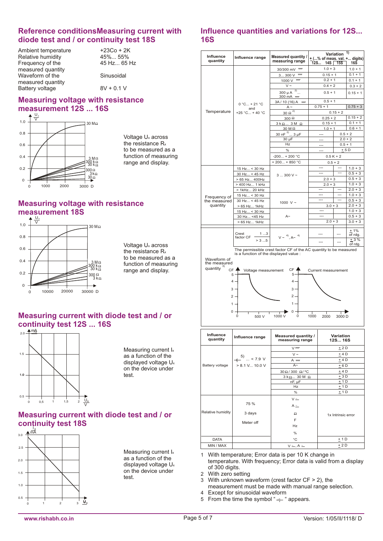### **Reference conditionsMeasuring current with diode test and / or continuity test 18S**

Ambient temperature  $+23Co + 2K$ <br>Relative humidity  $45\%...55\%$ Relative humidity  $45\%...55\%$ <br>Frequency of the  $45$  Hz... 65 Hz Frequency of the measured quantity Waveform of the Sinusoidal measured quantity Battery voltage  $8V + 0.1 V$ 

## **Measuring voltage with resistance measurement 12S ... 16S**



Voltage Ux across the resistance  $R<sub>x</sub>$ to be measured as a function of measuring range and display.

## **Measuring voltage with resistance measurement 18S**



Voltage Ux across the resistance R<sub>x</sub> to be measured as a function of measuring range and display.

### **Measuring current with diode test and / or continuity test 12S ... 16S**



Measuring current I<sup>x</sup> as a function of the displayed voltage U<sup>x</sup> on the device under test.

## **Measuring current with diode test and / or continuity test 18S**



Measuring current I<sup>x</sup> as a function of the displayed voltage U<sup>x</sup> on the device under test.

### **Influence quantities and variations for 12S... 16S**

| Influence<br>quantity                                                                                                                                                                                                                                                                                                                                                                                                | Influence range            | Measured quantity /<br>measuring range        | $+$ (% of meas. val. + digits)<br>12S | Variation<br>$14S$ $15S$ | 1)<br><b>16S</b> |  |
|----------------------------------------------------------------------------------------------------------------------------------------------------------------------------------------------------------------------------------------------------------------------------------------------------------------------------------------------------------------------------------------------------------------------|----------------------------|-----------------------------------------------|---------------------------------------|--------------------------|------------------|--|
|                                                                                                                                                                                                                                                                                                                                                                                                                      |                            | 30/300 mV =                                   | $1.0 + 3$                             |                          | $1.0 + 1$        |  |
|                                                                                                                                                                                                                                                                                                                                                                                                                      |                            | $=$<br>3 300 V                                | $0.15 + 1$                            |                          | $0.1 + 1$        |  |
|                                                                                                                                                                                                                                                                                                                                                                                                                      |                            | $1000 \, \text{V}$ =                          | $0.2 + 1$                             | $0.1 + 1$                |                  |  |
|                                                                                                                                                                                                                                                                                                                                                                                                                      |                            | $V \sim$                                      | $0.4 + 2$                             | $0.3 + 2$                |                  |  |
|                                                                                                                                                                                                                                                                                                                                                                                                                      |                            | 2)<br>300 µ A<br>300 mA $\equiv$              | $0.5 + 1$                             |                          | $0.15 + 1$       |  |
|                                                                                                                                                                                                                                                                                                                                                                                                                      | $0 °C + 21 °C$             | $3A/10(16)A =$                                | $0.5 + 1$                             |                          |                  |  |
|                                                                                                                                                                                                                                                                                                                                                                                                                      | and                        | $A \sim$                                      | $0.75 + 1$                            |                          | $0.75 + 3$       |  |
| Temperature                                                                                                                                                                                                                                                                                                                                                                                                          | +25 °C + 40 °C             | $\frac{30}{2}$ $\Omega^{\frac{2}{2}}$         |                                       | $0.15 + 2$               |                  |  |
|                                                                                                                                                                                                                                                                                                                                                                                                                      |                            | $300 \Omega$                                  | $0.25 + 2$                            |                          | $0.15 + 2$       |  |
|                                                                                                                                                                                                                                                                                                                                                                                                                      |                            | $3k\Omega3M\Omega$                            | $0.15 + 1$                            |                          | $0.1 + 1$        |  |
|                                                                                                                                                                                                                                                                                                                                                                                                                      |                            | 30 M Ω                                        | $1.0 + 1$                             |                          | $0.6 + 1$        |  |
|                                                                                                                                                                                                                                                                                                                                                                                                                      |                            | 30 nF $^{2)}$ 3 µF                            | ---                                   | $0.5 + 2$                |                  |  |
|                                                                                                                                                                                                                                                                                                                                                                                                                      |                            | 30 µF                                         |                                       | $2.0 + 2$                |                  |  |
|                                                                                                                                                                                                                                                                                                                                                                                                                      |                            | Hz                                            | ---                                   | $0.5 + 1$                |                  |  |
|                                                                                                                                                                                                                                                                                                                                                                                                                      |                            | $\%$                                          | ---                                   | $+5D$                    |                  |  |
|                                                                                                                                                                                                                                                                                                                                                                                                                      |                            | $-200 + 200 °C$                               |                                       | $0.5 K + 2$              |                  |  |
|                                                                                                                                                                                                                                                                                                                                                                                                                      |                            | $+200+850 °C$                                 |                                       | $0.5 + 2$                |                  |  |
|                                                                                                                                                                                                                                                                                                                                                                                                                      | 15 Hz < 30 Hz              |                                               | ---                                   | $\overline{a}$           | $1.0 + 3$        |  |
|                                                                                                                                                                                                                                                                                                                                                                                                                      | 30 Hz < 45 Hz              | $3300V -$                                     | $-$                                   |                          | $0.5 + 3$        |  |
|                                                                                                                                                                                                                                                                                                                                                                                                                      | > 65 Hz 400Hz              |                                               | $2.0 + 3$                             |                          | $0.5 + 3$        |  |
|                                                                                                                                                                                                                                                                                                                                                                                                                      | > 400 Hz 1 kHz             |                                               | $2.0 + 3$                             |                          | $1.0 + 3$        |  |
|                                                                                                                                                                                                                                                                                                                                                                                                                      | > 1kHz 20 kHz              |                                               |                                       |                          | $2.0 + 3$        |  |
| Frequency of                                                                                                                                                                                                                                                                                                                                                                                                         | 15 Hz < 30 Hz              |                                               | ---                                   |                          | $1.0 + 3$        |  |
| the measured                                                                                                                                                                                                                                                                                                                                                                                                         | 30 Hz < 45 Hz              | 1000 V ~                                      | ---                                   |                          | $0.5 + 3$        |  |
| quantity                                                                                                                                                                                                                                                                                                                                                                                                             | > 65 Hz 1kHz               |                                               | $3.0 + 3$                             |                          | $2.0 + 3$        |  |
|                                                                                                                                                                                                                                                                                                                                                                                                                      | 15 Hz < 30 Hz              |                                               | $\sim$                                |                          | $1.0 + 3$        |  |
|                                                                                                                                                                                                                                                                                                                                                                                                                      | 30 Hz <45 Hz               | $A^{\sim}$                                    | $---$<br>$2.0 + 3$                    |                          | $0.5 + 3$        |  |
|                                                                                                                                                                                                                                                                                                                                                                                                                      | > 65 Hz 1kHz               |                                               |                                       |                          | $3.0 + 3$        |  |
|                                                                                                                                                                                                                                                                                                                                                                                                                      |                            |                                               |                                       |                          | ±1%              |  |
|                                                                                                                                                                                                                                                                                                                                                                                                                      | Crest<br>1 3<br>factor CF  | $V \sim \frac{4}{4}$ , $A \sim \frac{4}{4}$   | ---                                   |                          | of rdg.          |  |
|                                                                                                                                                                                                                                                                                                                                                                                                                      | > 35                       |                                               | ---                                   |                          | ± 3 %            |  |
|                                                                                                                                                                                                                                                                                                                                                                                                                      |                            |                                               |                                       |                          | of rdg.          |  |
| The permissible crest factor CF of the AC quantity to be measured<br>is a function of the displayed value :<br>Waveform of<br>the measured<br>quantity<br>CF <sup>4</sup><br>CF 4<br>Voltage measurement<br>Current measurement<br>$5^{\circ}$<br>5.<br>$4 \cdot$<br>$\overline{4}$<br>3<br>з.<br>$2$ .<br>$2 \cdot$<br>$1$ .<br>$\mathbf 1$<br>$\Omega$<br>0<br>0<br>1000 V<br>0<br>1000<br>500 V<br>3000 D<br>2000 |                            |                                               |                                       |                          |                  |  |
| <b>Influence</b><br>quantity                                                                                                                                                                                                                                                                                                                                                                                         | Influence range            | <b>Measured quantity /</b><br>measuring range |                                       | Variation<br>12S 16S     |                  |  |
|                                                                                                                                                                                                                                                                                                                                                                                                                      |                            | $V =$                                         |                                       | $+2D$                    |                  |  |
|                                                                                                                                                                                                                                                                                                                                                                                                                      | $-1$ <sup>5)</sup> < 7.9 V | $V \sim$                                      |                                       | ±4D                      |                  |  |
|                                                                                                                                                                                                                                                                                                                                                                                                                      |                            | $A =$                                         |                                       | $+4D$                    |                  |  |

 $A =$  $+ 4 D$  $> 8.1$  V... 10.0 V Battery voltage  $A~$  $+ 6 D$  $30 \Omega / 300 \Omega / ^{\circ}C$  $± 4 D$  $3 k \Omega ... 30 M \Omega$  $+ 3 D$  $\frac{1}{\pm 1}$  D  $nF$ ,  $nF$  $\pm$  1 D Hz  $\frac{9}{6}$ + 1 D  $V \simeq$ 75 %  $A \simeq$ Relative humidity 3 days  $\bar{\Omega}$ 1x Intrinsic error F Meter off Hz % DATA °C  $+ 1 D$ MIN / MAX  $V =$ , A  $\simeq$  $+ 2D$ 

1 With temperature; Error data is per 10 K change in temperature. With frequency; Error data is valid from a display of 300 digits.

2 With zero setting

- 3 With unknown waveform (crest factor CF > 2), the
- measurement must be made with manual range selection.
- 4 Except for sinusoidal waveform
- 5 From the time the symbol " $+$ " appears.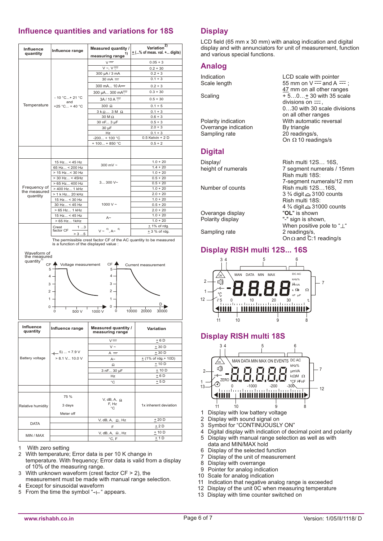# **Influence quantities and variations for 18S**

| <b>Influence</b><br>quantity | Influence range         | <b>Measured quantity /</b><br>measuring range <sup>1)</sup> | Variation <sup>2)</sup><br>$\pm$ (% of meas. val. + digits) |
|------------------------------|-------------------------|-------------------------------------------------------------|-------------------------------------------------------------|
|                              |                         | $V =$                                                       | $0.05 + 3$                                                  |
|                              |                         | $V \sim V \equiv$                                           | $0.2 + 30$                                                  |
|                              |                         | 300 µA / 3 mA                                               | $0.2 + 3$                                                   |
|                              |                         | $30 \text{ mA} =$                                           | $0.1 + 3$                                                   |
|                              |                         | 300 mA 10 A=                                                | $0.2 + 3$                                                   |
|                              |                         | 300 µA 300 mA <sup>---</sup>                                | $0.3 + 30$                                                  |
|                              | $-10$ °C + 21 °C<br>and | $3A/10A =$                                                  | $0.5 + 30$                                                  |
| Temperature                  | +25 °C + 40 °C          | $300 \Omega$                                                | $0.1 + 5$                                                   |
|                              |                         | $3k\Omega$ 3 M $\Omega$                                     | $0.1 + 3$                                                   |
|                              |                         | 30 M Ω                                                      | $0.6 + 3$                                                   |
|                              |                         | 30 nF 3 µF                                                  | $0.5 + 3$                                                   |
|                              |                         | 30 µF                                                       | $2.0 + 3$                                                   |
|                              |                         | Hz                                                          | $0.1 + 3$                                                   |
|                              |                         | $-200 + 100 °C$                                             | $0.5$ Kelvin + 2 D                                          |
|                              |                         | $+100 + 850 °C$                                             | $0.5 + 2$                                                   |
|                              |                         |                                                             |                                                             |
|                              | 15 Hz < 45 Hz           | 300 mV $\sim$                                               | $1.0 + 20$                                                  |
|                              | 65 Hz < 200 Hz          |                                                             | $1.4 + 20$                                                  |
|                              | > 15 Hz< 30 Hz          |                                                             | $1.0 + 20$                                                  |
|                              | $> 30$ Hz < 45Hz        |                                                             | $0.5 + 20$                                                  |
|                              | > 65 Hz 400 Hz          | $3300V -$                                                   | $0.5 + 20$                                                  |
| Frequency of                 | > 400 Hz 1 kHz          |                                                             | $1.0 + 20$                                                  |
| the measured<br>quantity     | > 1 k Hz 20 kHz         |                                                             | $2.0 + 20$                                                  |
|                              | 15 Hz < 30 Hz           |                                                             | $1.0 + 20$                                                  |
|                              | 30 Hz < 45 Hz           | 1000 V $\sim$                                               | $0.5 + 20$                                                  |
|                              | > 65 Hz 1 kHz           |                                                             | $2.0 + 20$                                                  |
|                              | 15 Hz < 45 Hz           |                                                             | $1.0 + 20$                                                  |
|                              | $>65$ Hz 1kHz           | $A\sim$                                                     | $1.0 + 20$                                                  |
|                              | Crest<br>13             |                                                             | $± 1\%$ of rdg.                                             |
|                              | factor CF<br>> 35       | $V \sim \frac{4}{7}$ , A $\sim \frac{4}{7}$                 | $+3%$ of rdg.                                               |

st factor CF of the AC quantity to be measured The permissible crest factor  $C_F$  or trise a function of the displayed value :



| Influence<br>quantity | Influence range  | Measured quantity /<br>measuring range      | Variation              |  |  |
|-----------------------|------------------|---------------------------------------------|------------------------|--|--|
|                       |                  | $V =$                                       | $+6D$                  |  |  |
|                       |                  | $V \sim$                                    | $+30D$                 |  |  |
|                       | $-1$ 5)  < 7.9 V | $A =$                                       | $+30D$                 |  |  |
| Battery voltage       | $> 8.1$ V 10.0 V | $A -$                                       | $+$ (1% of rdg. + 10D) |  |  |
|                       |                  | Ω                                           | $+10D$                 |  |  |
|                       |                  | 3 nF 30 µF                                  | $+10D$                 |  |  |
|                       |                  | Hz                                          | $+6D$                  |  |  |
|                       |                  | °C                                          | $+5D$                  |  |  |
|                       |                  |                                             |                        |  |  |
| Relative humidity     | 75 %<br>3 days   | V, dB, A, $\Omega$<br>F, Hz<br>$^{\circ}$ C | 1x inherent deviation  |  |  |
|                       | Meter off        |                                             |                        |  |  |
|                       |                  | V, dB, A, $\Omega$ , Hz                     | $+20D$                 |  |  |
| <b>DATA</b>           |                  | F                                           | $+2D$                  |  |  |
| MIN / MAX             |                  | V, dB, A, $\Omega$ , Hz                     | $+10D$                 |  |  |
|                       |                  | $^{\circ}$ C, F                             | ± 1D                   |  |  |

1 With zero setting

- 2 With temperature; Error data is per 10 K change in temperature. With frequency; Error data is valid from a display of 10% of the measuring range.
- 3 With unknown waveform (crest factor CF > 2), the measurement must be made with manual range selection.
- 4 Except for sinusoidal waveform
- 5 From the time the symbol " $\neg$  " appears.

# **Display**

LCD field (65 mm x 30 mm) with analog indication and digital display and with annunciators for unit of measurement, function and various special functions.

47 mm on all other ranges

0…30 with 30 scale divisions

7 segment numerals / 15mm

7-segment numerals/12 mm

3 ¾ digit △ 3100 counts Rish multi 18S:

4  $\frac{3}{4}$  digit  $\triangle$  31000 counts<br>"OL" is shown

When positive pole to " $\perp$ "<br>2 readings/s,

On  $\Omega$  and C:1 reading/s

divisions on  $\frac{1}{1}$ ,

20 readings/s. On  $\Omega$  10 readings/s

Rish multi 18S:

"-" sign is shown,

on all other ranges

### **Analog**

Indication LCD scale with pointer<br>Scale length 55 mm on V --- and A - $\frac{1}{2}$  Scale length  $\frac{1}{2}$  and A  $\frac{1}{2}$ ; Scale length  $\frac{1}{2}$  and A  $\frac{1}{2}$ ;

Scaling  $\overline{+}5...0...+30$  with 35 scale

Polarity indication With automatic reversal Overrange indication By triangle<br>
Sampling rate 20 readings

# **Digital**

Display/ Rish multi 12S... 16S, height of numerals  $\frac{7}{5}$  regment numerals /

Number of counts Rish multi 12S...16S,

Overange display<br>Polarity display

Sampling rate

# **Display RISH multi 12S... 16S**



## **Display RISH multi 18S**



- 1 Display with low battery voltage
- 2 Display with sound signal on
- 3 Symbol for "CONTINUOUSLY ON"<br>4 Digital display with indication of dec
- Digital display with indication of decimal point and polarity
- 5 Display with manual range selection as well as with data and MIN/MAX hold
- 6 Display of the selected function<br>7 Display of the unit of measurem
- Display of the unit of measurement
- 8 Display with overrange
- 9 Pointer for analog indication
- 10 Scale for analog indication
- 11 Indication that negative analog range is exceeded
- 12 Display of the unit 0C when measuring temperature
- 13 Display with time counter switched on